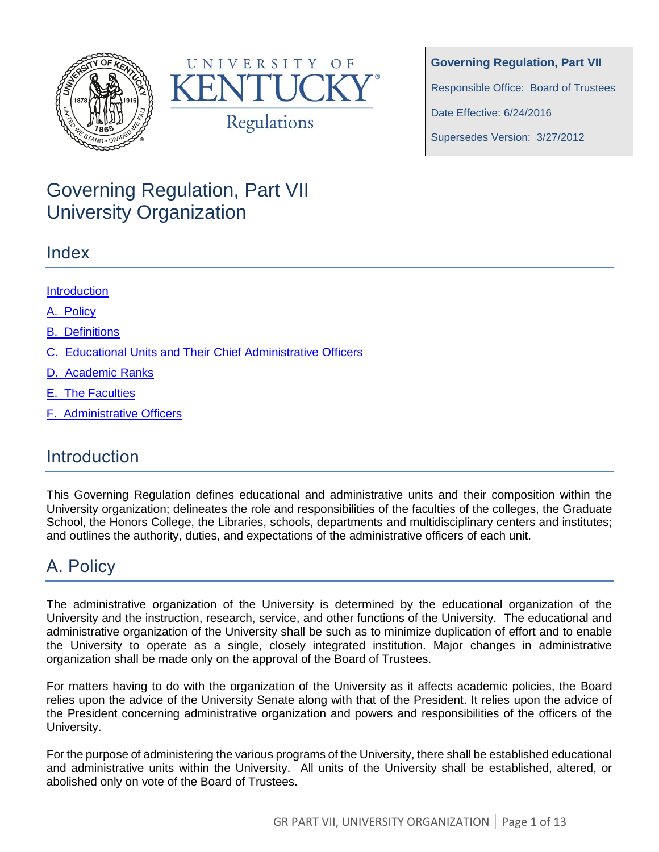



**Governing Regulation, Part VII** Responsible Office: Board of Trustees

Date Effective: 6/24/2016

Supersedes Version: 3/27/2012

# Governing Regulation, Part VII University Organization

### Index

### **Introduction**

A. [Policy](#page-0-0)

B. [Definitions](#page-1-0)

C. [Educational Units and Their Chief Administrative Officers](#page-1-1)

D. [Academic Ranks](#page-1-2)

E. [The Faculties](#page-2-0)

F. [Administrative Officers](#page-7-0)

# **Introduction**

This Governing Regulation defines educational and administrative units and their composition within the University organization; delineates the role and responsibilities of the faculties of the colleges, the Graduate School, the Honors College, the Libraries, schools, departments and multidisciplinary centers and institutes; and outlines the authority, duties, and expectations of the administrative officers of each unit.

# <span id="page-0-0"></span>A. Policy

The administrative organization of the University is determined by the educational organization of the University and the instruction, research, service, and other functions of the University. The educational and administrative organization of the University shall be such as to minimize duplication of effort and to enable the University to operate as a single, closely integrated institution. Major changes in administrative organization shall be made only on the approval of the Board of Trustees.

For matters having to do with the organization of the University as it affects academic policies, the Board relies upon the advice of the University Senate along with that of the President. It relies upon the advice of the President concerning administrative organization and powers and responsibilities of the officers of the University.

For the purpose of administering the various programs of the University, there shall be established educational and administrative units within the University. All units of the University shall be established, altered, or abolished only on vote of the Board of Trustees.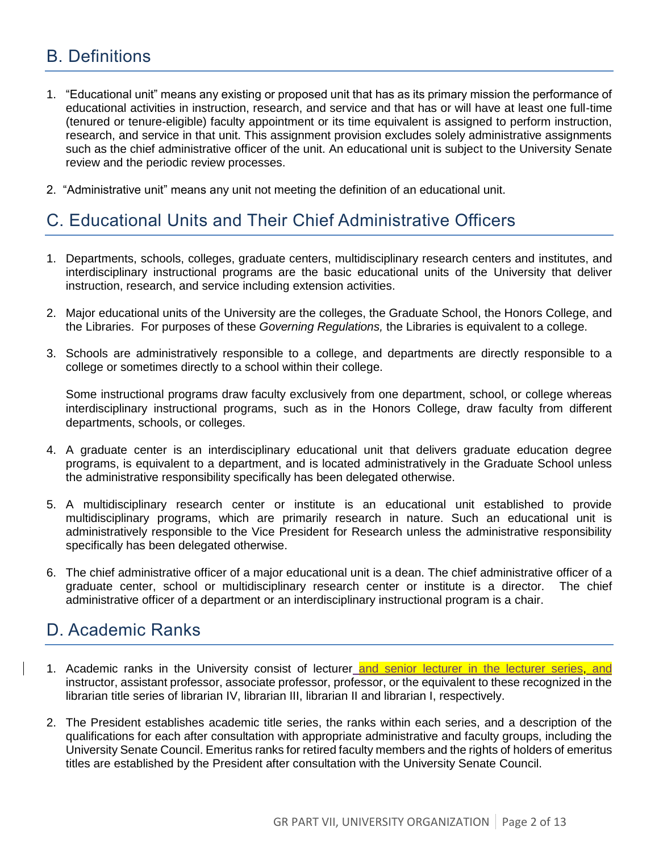## <span id="page-1-0"></span>B. Definitions

- 1. "Educational unit" means any existing or proposed unit that has as its primary mission the performance of educational activities in instruction, research, and service and that has or will have at least one full-time (tenured or tenure-eligible) faculty appointment or its time equivalent is assigned to perform instruction, research, and service in that unit. This assignment provision excludes solely administrative assignments such as the chief administrative officer of the unit. An educational unit is subject to the University Senate review and the periodic review processes.
- 2. "Administrative unit" means any unit not meeting the definition of an educational unit.

# <span id="page-1-1"></span>C. Educational Units and Their Chief Administrative Officers

- 1. Departments, schools, colleges, graduate centers, multidisciplinary research centers and institutes, and interdisciplinary instructional programs are the basic educational units of the University that deliver instruction, research, and service including extension activities.
- 2. Major educational units of the University are the colleges, the Graduate School, the Honors College, and the Libraries. For purposes of these *Governing Regulations,* the Libraries is equivalent to a college.
- 3. Schools are administratively responsible to a college, and departments are directly responsible to a college or sometimes directly to a school within their college.

Some instructional programs draw faculty exclusively from one department, school, or college whereas interdisciplinary instructional programs, such as in the Honors College, draw faculty from different departments, schools, or colleges.

- 4. A graduate center is an interdisciplinary educational unit that delivers graduate education degree programs, is equivalent to a department, and is located administratively in the Graduate School unless the administrative responsibility specifically has been delegated otherwise.
- 5. A multidisciplinary research center or institute is an educational unit established to provide multidisciplinary programs, which are primarily research in nature. Such an educational unit is administratively responsible to the Vice President for Research unless the administrative responsibility specifically has been delegated otherwise.
- 6. The chief administrative officer of a major educational unit is a dean. The chief administrative officer of a graduate center, school or multidisciplinary research center or institute is a director. The chief administrative officer of a department or an interdisciplinary instructional program is a chair.

### <span id="page-1-2"></span>D. Academic Ranks

- 1. Academic ranks in the University consist of lecturer and senior lecturer in the lecturer series, and instructor, assistant professor, associate professor, professor, or the equivalent to these recognized in the librarian title series of librarian IV, librarian III, librarian II and librarian I, respectively.
- 2. The President establishes academic title series, the ranks within each series, and a description of the qualifications for each after consultation with appropriate administrative and faculty groups, including the University Senate Council. Emeritus ranks for retired faculty members and the rights of holders of emeritus titles are established by the President after consultation with the University Senate Council.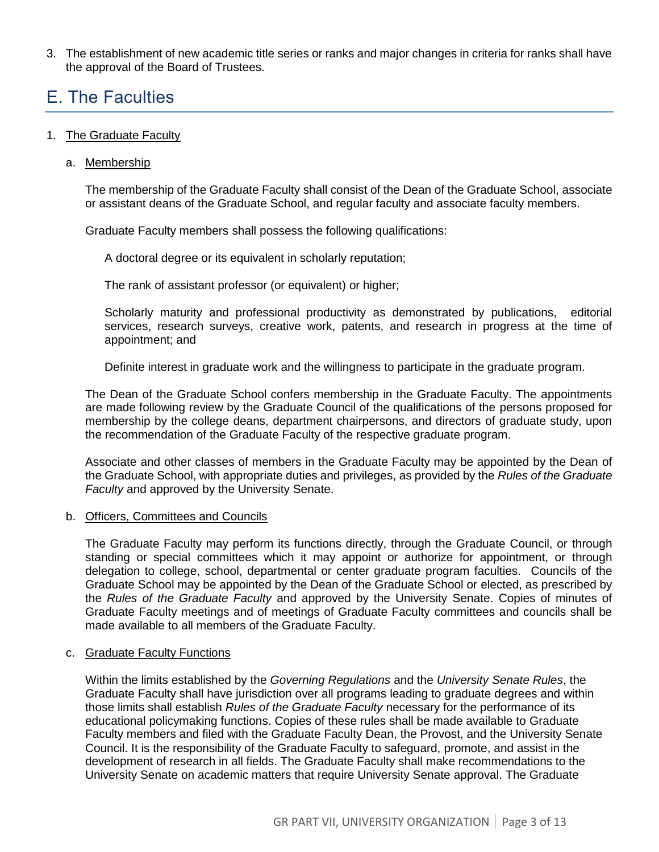3. The establishment of new academic title series or ranks and major changes in criteria for ranks shall have the approval of the Board of Trustees.

## <span id="page-2-0"></span>E. The Faculties

#### 1. The Graduate Faculty

a. Membership

The membership of the Graduate Faculty shall consist of the Dean of the Graduate School, associate or assistant deans of the Graduate School, and regular faculty and associate faculty members.

Graduate Faculty members shall possess the following qualifications:

A doctoral degree or its equivalent in scholarly reputation;

The rank of assistant professor (or equivalent) or higher;

Scholarly maturity and professional productivity as demonstrated by publications, editorial services, research surveys, creative work, patents, and research in progress at the time of appointment; and

Definite interest in graduate work and the willingness to participate in the graduate program.

The Dean of the Graduate School confers membership in the Graduate Faculty. The appointments are made following review by the Graduate Council of the qualifications of the persons proposed for membership by the college deans, department chairpersons, and directors of graduate study, upon the recommendation of the Graduate Faculty of the respective graduate program.

Associate and other classes of members in the Graduate Faculty may be appointed by the Dean of the Graduate School, with appropriate duties and privileges, as provided by the *Rules of the Graduate Faculty* and approved by the University Senate.

#### b. Officers, Committees and Councils

The Graduate Faculty may perform its functions directly, through the Graduate Council, or through standing or special committees which it may appoint or authorize for appointment, or through delegation to college, school, departmental or center graduate program faculties. Councils of the Graduate School may be appointed by the Dean of the Graduate School or elected, as prescribed by the *Rules of the Graduate Faculty* and approved by the University Senate. Copies of minutes of Graduate Faculty meetings and of meetings of Graduate Faculty committees and councils shall be made available to all members of the Graduate Faculty.

#### c. Graduate Faculty Functions

Within the limits established by the *Governing Regulations* and the *University Senate Rules*, the Graduate Faculty shall have jurisdiction over all programs leading to graduate degrees and within those limits shall establish *Rules of the Graduate Faculty* necessary for the performance of its educational policymaking functions. Copies of these rules shall be made available to Graduate Faculty members and filed with the Graduate Faculty Dean, the Provost, and the University Senate Council. It is the responsibility of the Graduate Faculty to safeguard, promote, and assist in the development of research in all fields. The Graduate Faculty shall make recommendations to the University Senate on academic matters that require University Senate approval. The Graduate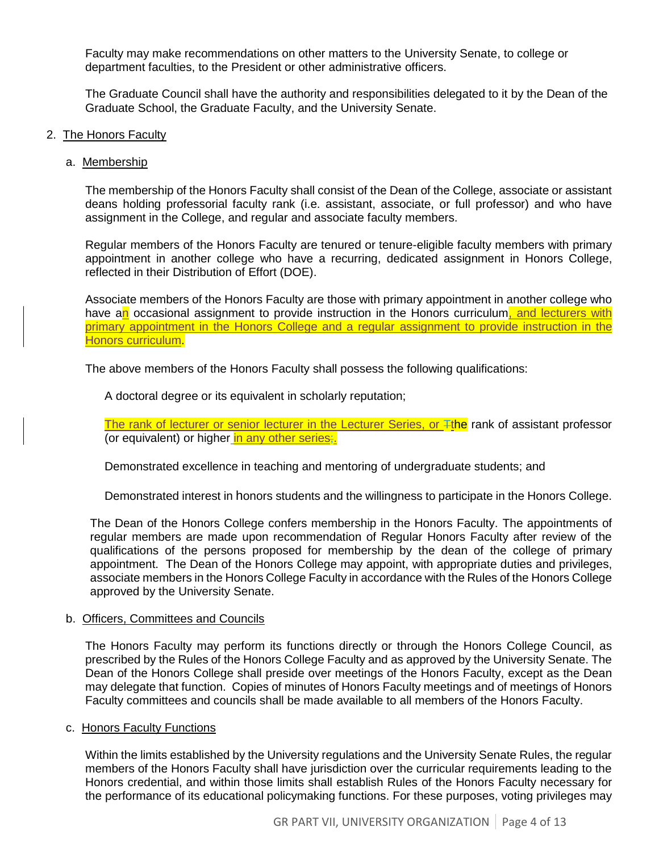Faculty may make recommendations on other matters to the University Senate, to college or department faculties, to the President or other administrative officers.

The Graduate Council shall have the authority and responsibilities delegated to it by the Dean of the Graduate School, the Graduate Faculty, and the University Senate.

#### 2. The Honors Faculty

#### a. Membership

The membership of the Honors Faculty shall consist of the Dean of the College, associate or assistant deans holding professorial faculty rank (i.e. assistant, associate, or full professor) and who have assignment in the College, and regular and associate faculty members.

Regular members of the Honors Faculty are tenured or tenure-eligible faculty members with primary appointment in another college who have a recurring, dedicated assignment in Honors College, reflected in their Distribution of Effort (DOE).

Associate members of the Honors Faculty are those with primary appointment in another college who have an occasional assignment to provide instruction in the Honors curriculum, and lecturers with primary appointment in the Honors College and a regular assignment to provide instruction in the Honors curriculum.

The above members of the Honors Faculty shall possess the following qualifications:

A doctoral degree or its equivalent in scholarly reputation;

The rank of lecturer or senior lecturer in the Lecturer Series, or Tthe rank of assistant professor (or equivalent) or higher in any other series;

Demonstrated excellence in teaching and mentoring of undergraduate students; and

Demonstrated interest in honors students and the willingness to participate in the Honors College.

The Dean of the Honors College confers membership in the Honors Faculty. The appointments of regular members are made upon recommendation of Regular Honors Faculty after review of the qualifications of the persons proposed for membership by the dean of the college of primary appointment. The Dean of the Honors College may appoint, with appropriate duties and privileges, associate members in the Honors College Faculty in accordance with the Rules of the Honors College approved by the University Senate.

#### b. Officers, Committees and Councils

The Honors Faculty may perform its functions directly or through the Honors College Council, as prescribed by the Rules of the Honors College Faculty and as approved by the University Senate. The Dean of the Honors College shall preside over meetings of the Honors Faculty, except as the Dean may delegate that function. Copies of minutes of Honors Faculty meetings and of meetings of Honors Faculty committees and councils shall be made available to all members of the Honors Faculty.

#### c. Honors Faculty Functions

Within the limits established by the University regulations and the University Senate Rules, the regular members of the Honors Faculty shall have jurisdiction over the curricular requirements leading to the Honors credential, and within those limits shall establish Rules of the Honors Faculty necessary for the performance of its educational policymaking functions. For these purposes, voting privileges may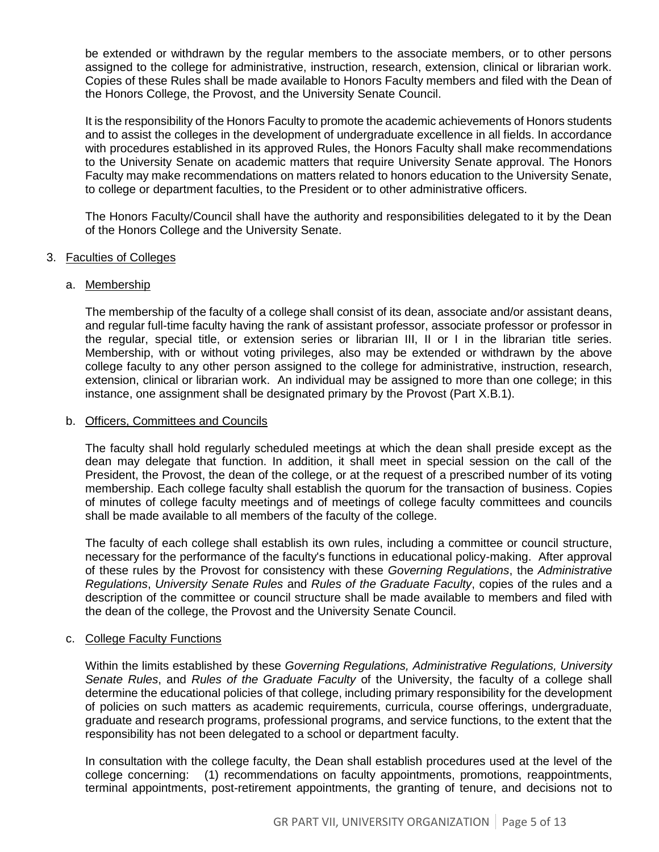be extended or withdrawn by the regular members to the associate members, or to other persons assigned to the college for administrative, instruction, research, extension, clinical or librarian work. Copies of these Rules shall be made available to Honors Faculty members and filed with the Dean of the Honors College, the Provost, and the University Senate Council.

It is the responsibility of the Honors Faculty to promote the academic achievements of Honors students and to assist the colleges in the development of undergraduate excellence in all fields. In accordance with procedures established in its approved Rules, the Honors Faculty shall make recommendations to the University Senate on academic matters that require University Senate approval. The Honors Faculty may make recommendations on matters related to honors education to the University Senate, to college or department faculties, to the President or to other administrative officers.

The Honors Faculty/Council shall have the authority and responsibilities delegated to it by the Dean of the Honors College and the University Senate.

#### 3. Faculties of Colleges

#### a. Membership

The membership of the faculty of a college shall consist of its dean, associate and/or assistant deans, and regular full-time faculty having the rank of assistant professor, associate professor or professor in the regular, special title, or extension series or librarian III, II or I in the librarian title series. Membership, with or without voting privileges, also may be extended or withdrawn by the above college faculty to any other person assigned to the college for administrative, instruction, research, extension, clinical or librarian work. An individual may be assigned to more than one college; in this instance, one assignment shall be designated primary by the Provost (Part X.B.1).

#### b. Officers, Committees and Councils

The faculty shall hold regularly scheduled meetings at which the dean shall preside except as the dean may delegate that function. In addition, it shall meet in special session on the call of the President, the Provost, the dean of the college, or at the request of a prescribed number of its voting membership. Each college faculty shall establish the quorum for the transaction of business. Copies of minutes of college faculty meetings and of meetings of college faculty committees and councils shall be made available to all members of the faculty of the college.

The faculty of each college shall establish its own rules, including a committee or council structure, necessary for the performance of the faculty's functions in educational policy-making. After approval of these rules by the Provost for consistency with these *Governing Regulations*, the *Administrative Regulations*, *University Senate Rules* and *Rules of the Graduate Faculty*, copies of the rules and a description of the committee or council structure shall be made available to members and filed with the dean of the college, the Provost and the University Senate Council.

#### c. College Faculty Functions

Within the limits established by these *Governing Regulations, Administrative Regulations, University Senate Rules*, and *Rules of the Graduate Faculty* of the University, the faculty of a college shall determine the educational policies of that college, including primary responsibility for the development of policies on such matters as academic requirements, curricula, course offerings, undergraduate, graduate and research programs, professional programs, and service functions, to the extent that the responsibility has not been delegated to a school or department faculty.

In consultation with the college faculty, the Dean shall establish procedures used at the level of the college concerning: (1) recommendations on faculty appointments, promotions, reappointments, terminal appointments, post-retirement appointments, the granting of tenure, and decisions not to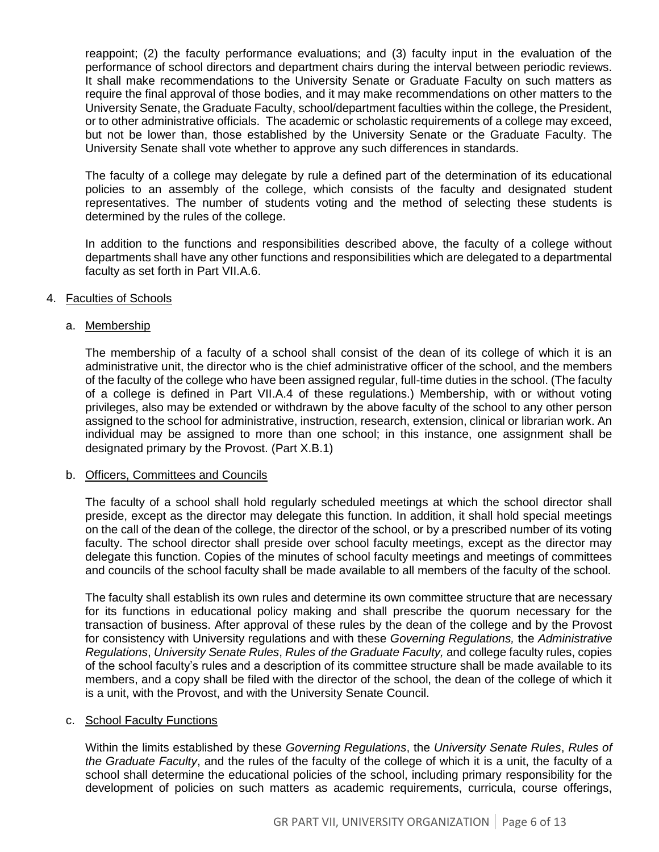reappoint; (2) the faculty performance evaluations; and (3) faculty input in the evaluation of the performance of school directors and department chairs during the interval between periodic reviews. It shall make recommendations to the University Senate or Graduate Faculty on such matters as require the final approval of those bodies, and it may make recommendations on other matters to the University Senate, the Graduate Faculty, school/department faculties within the college, the President, or to other administrative officials. The academic or scholastic requirements of a college may exceed, but not be lower than, those established by the University Senate or the Graduate Faculty. The University Senate shall vote whether to approve any such differences in standards.

The faculty of a college may delegate by rule a defined part of the determination of its educational policies to an assembly of the college, which consists of the faculty and designated student representatives. The number of students voting and the method of selecting these students is determined by the rules of the college.

In addition to the functions and responsibilities described above, the faculty of a college without departments shall have any other functions and responsibilities which are delegated to a departmental faculty as set forth in Part VII.A.6.

#### 4. Faculties of Schools

#### a. Membership

The membership of a faculty of a school shall consist of the dean of its college of which it is an administrative unit, the director who is the chief administrative officer of the school, and the members of the faculty of the college who have been assigned regular, full-time duties in the school. (The faculty of a college is defined in Part VII.A.4 of these regulations.) Membership, with or without voting privileges, also may be extended or withdrawn by the above faculty of the school to any other person assigned to the school for administrative, instruction, research, extension, clinical or librarian work. An individual may be assigned to more than one school; in this instance, one assignment shall be designated primary by the Provost. (Part X.B.1)

#### b. Officers, Committees and Councils

The faculty of a school shall hold regularly scheduled meetings at which the school director shall preside, except as the director may delegate this function. In addition, it shall hold special meetings on the call of the dean of the college, the director of the school, or by a prescribed number of its voting faculty. The school director shall preside over school faculty meetings, except as the director may delegate this function. Copies of the minutes of school faculty meetings and meetings of committees and councils of the school faculty shall be made available to all members of the faculty of the school.

The faculty shall establish its own rules and determine its own committee structure that are necessary for its functions in educational policy making and shall prescribe the quorum necessary for the transaction of business. After approval of these rules by the dean of the college and by the Provost for consistency with University regulations and with these *Governing Regulations,* the *Administrative Regulations*, *University Senate Rules*, *Rules of the Graduate Faculty,* and college faculty rules, copies of the school faculty's rules and a description of its committee structure shall be made available to its members, and a copy shall be filed with the director of the school, the dean of the college of which it is a unit, with the Provost, and with the University Senate Council.

#### c. School Faculty Functions

Within the limits established by these *Governing Regulations*, the *University Senate Rules*, *Rules of the Graduate Faculty*, and the rules of the faculty of the college of which it is a unit, the faculty of a school shall determine the educational policies of the school, including primary responsibility for the development of policies on such matters as academic requirements, curricula, course offerings,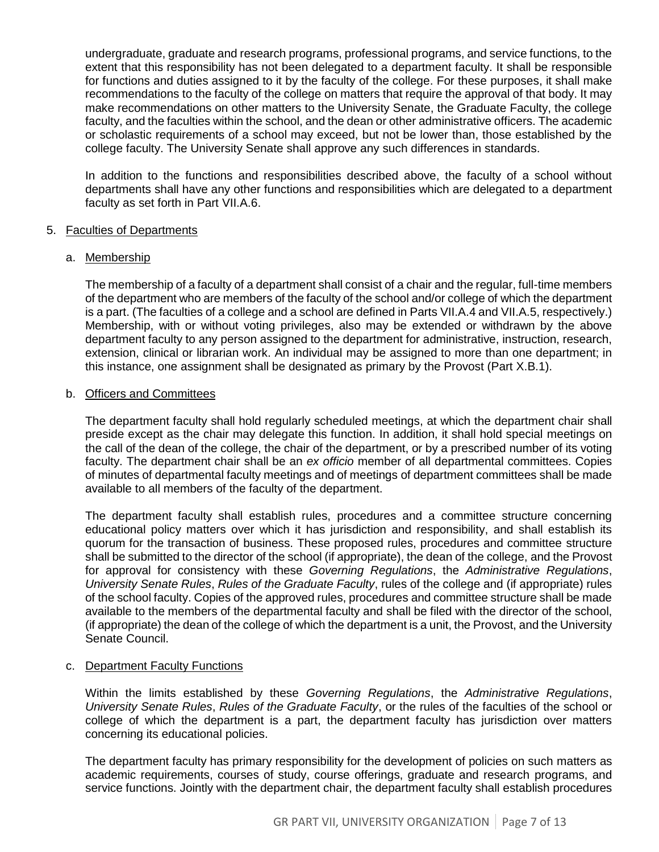undergraduate, graduate and research programs, professional programs, and service functions, to the extent that this responsibility has not been delegated to a department faculty. It shall be responsible for functions and duties assigned to it by the faculty of the college. For these purposes, it shall make recommendations to the faculty of the college on matters that require the approval of that body. It may make recommendations on other matters to the University Senate, the Graduate Faculty, the college faculty, and the faculties within the school, and the dean or other administrative officers. The academic or scholastic requirements of a school may exceed, but not be lower than, those established by the college faculty. The University Senate shall approve any such differences in standards.

In addition to the functions and responsibilities described above, the faculty of a school without departments shall have any other functions and responsibilities which are delegated to a department faculty as set forth in Part VII.A.6.

#### 5. Faculties of Departments

#### a. Membership

The membership of a faculty of a department shall consist of a chair and the regular, full-time members of the department who are members of the faculty of the school and/or college of which the department is a part. (The faculties of a college and a school are defined in Parts VII.A.4 and VII.A.5, respectively.) Membership, with or without voting privileges, also may be extended or withdrawn by the above department faculty to any person assigned to the department for administrative, instruction, research, extension, clinical or librarian work. An individual may be assigned to more than one department; in this instance, one assignment shall be designated as primary by the Provost (Part X.B.1).

#### b. Officers and Committees

The department faculty shall hold regularly scheduled meetings, at which the department chair shall preside except as the chair may delegate this function. In addition, it shall hold special meetings on the call of the dean of the college, the chair of the department, or by a prescribed number of its voting faculty. The department chair shall be an *ex officio* member of all departmental committees. Copies of minutes of departmental faculty meetings and of meetings of department committees shall be made available to all members of the faculty of the department.

The department faculty shall establish rules, procedures and a committee structure concerning educational policy matters over which it has jurisdiction and responsibility, and shall establish its quorum for the transaction of business. These proposed rules, procedures and committee structure shall be submitted to the director of the school (if appropriate), the dean of the college, and the Provost for approval for consistency with these *Governing Regulations*, the *Administrative Regulations*, *University Senate Rules*, *Rules of the Graduate Faculty*, rules of the college and (if appropriate) rules of the school faculty. Copies of the approved rules, procedures and committee structure shall be made available to the members of the departmental faculty and shall be filed with the director of the school, (if appropriate) the dean of the college of which the department is a unit, the Provost, and the University Senate Council.

#### c. Department Faculty Functions

Within the limits established by these *Governing Regulations*, the *Administrative Regulations*, *University Senate Rules*, *Rules of the Graduate Faculty*, or the rules of the faculties of the school or college of which the department is a part, the department faculty has jurisdiction over matters concerning its educational policies.

The department faculty has primary responsibility for the development of policies on such matters as academic requirements, courses of study, course offerings, graduate and research programs, and service functions. Jointly with the department chair, the department faculty shall establish procedures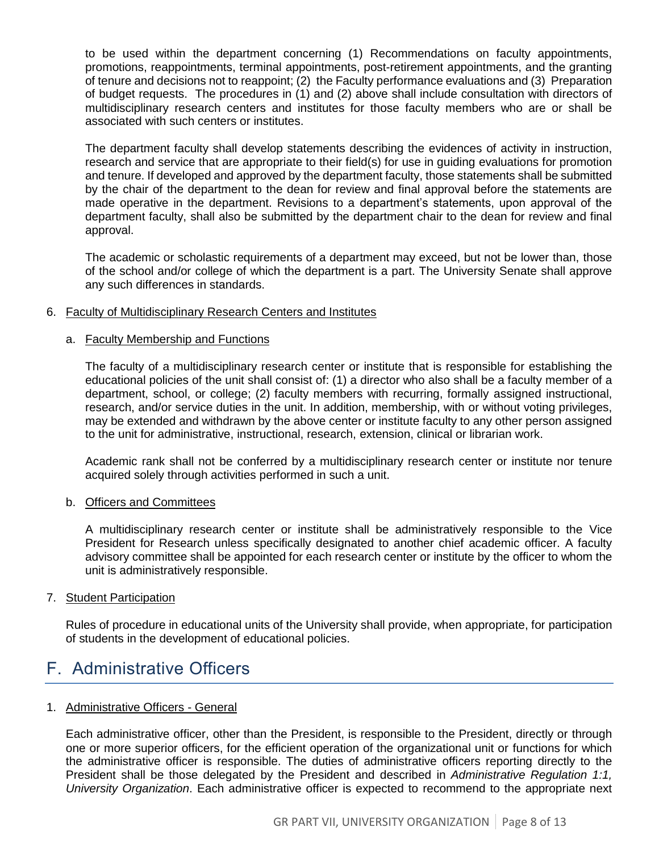to be used within the department concerning (1) Recommendations on faculty appointments, promotions, reappointments, terminal appointments, post-retirement appointments, and the granting of tenure and decisions not to reappoint; (2) the Faculty performance evaluations and (3) Preparation of budget requests. The procedures in (1) and (2) above shall include consultation with directors of multidisciplinary research centers and institutes for those faculty members who are or shall be associated with such centers or institutes.

The department faculty shall develop statements describing the evidences of activity in instruction, research and service that are appropriate to their field(s) for use in guiding evaluations for promotion and tenure. If developed and approved by the department faculty, those statements shall be submitted by the chair of the department to the dean for review and final approval before the statements are made operative in the department. Revisions to a department's statements, upon approval of the department faculty, shall also be submitted by the department chair to the dean for review and final approval.

The academic or scholastic requirements of a department may exceed, but not be lower than, those of the school and/or college of which the department is a part. The University Senate shall approve any such differences in standards.

#### 6. Faculty of Multidisciplinary Research Centers and Institutes

#### a. Faculty Membership and Functions

The faculty of a multidisciplinary research center or institute that is responsible for establishing the educational policies of the unit shall consist of: (1) a director who also shall be a faculty member of a department, school, or college; (2) faculty members with recurring, formally assigned instructional, research, and/or service duties in the unit. In addition, membership, with or without voting privileges, may be extended and withdrawn by the above center or institute faculty to any other person assigned to the unit for administrative, instructional, research, extension, clinical or librarian work.

Academic rank shall not be conferred by a multidisciplinary research center or institute nor tenure acquired solely through activities performed in such a unit.

#### b. Officers and Committees

A multidisciplinary research center or institute shall be administratively responsible to the Vice President for Research unless specifically designated to another chief academic officer. A faculty advisory committee shall be appointed for each research center or institute by the officer to whom the unit is administratively responsible.

#### 7. Student Participation

Rules of procedure in educational units of the University shall provide, when appropriate, for participation of students in the development of educational policies.

### <span id="page-7-0"></span>F. Administrative Officers

#### 1. Administrative Officers - General

Each administrative officer, other than the President, is responsible to the President, directly or through one or more superior officers, for the efficient operation of the organizational unit or functions for which the administrative officer is responsible. The duties of administrative officers reporting directly to the President shall be those delegated by the President and described in *Administrative Regulation 1:1, University Organization*. Each administrative officer is expected to recommend to the appropriate next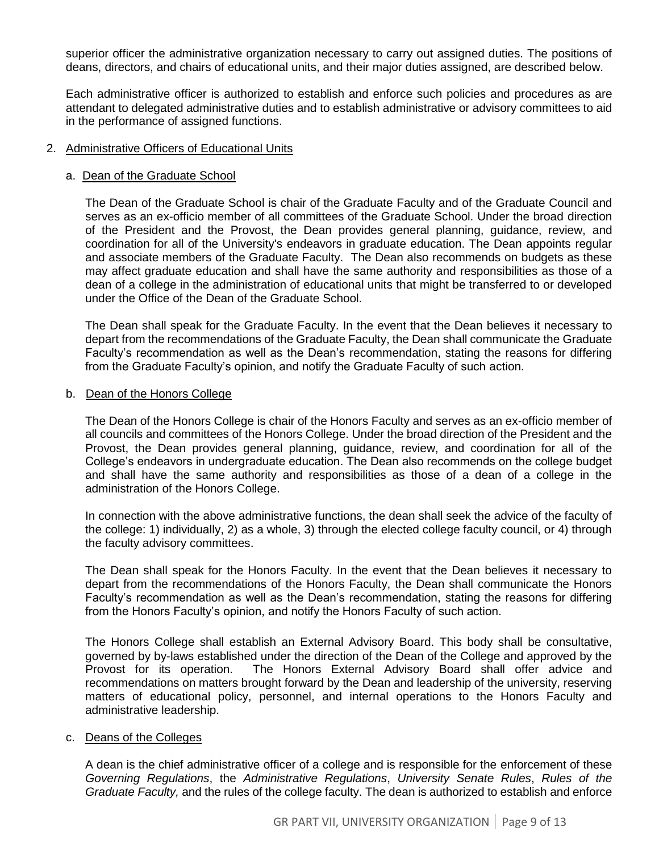superior officer the administrative organization necessary to carry out assigned duties. The positions of deans, directors, and chairs of educational units, and their major duties assigned, are described below.

Each administrative officer is authorized to establish and enforce such policies and procedures as are attendant to delegated administrative duties and to establish administrative or advisory committees to aid in the performance of assigned functions.

#### 2. Administrative Officers of Educational Units

#### a. Dean of the Graduate School

The Dean of the Graduate School is chair of the Graduate Faculty and of the Graduate Council and serves as an ex-officio member of all committees of the Graduate School. Under the broad direction of the President and the Provost, the Dean provides general planning, guidance, review, and coordination for all of the University's endeavors in graduate education. The Dean appoints regular and associate members of the Graduate Faculty. The Dean also recommends on budgets as these may affect graduate education and shall have the same authority and responsibilities as those of a dean of a college in the administration of educational units that might be transferred to or developed under the Office of the Dean of the Graduate School.

The Dean shall speak for the Graduate Faculty. In the event that the Dean believes it necessary to depart from the recommendations of the Graduate Faculty, the Dean shall communicate the Graduate Faculty's recommendation as well as the Dean's recommendation, stating the reasons for differing from the Graduate Faculty's opinion, and notify the Graduate Faculty of such action.

#### b. Dean of the Honors College

The Dean of the Honors College is chair of the Honors Faculty and serves as an ex-officio member of all councils and committees of the Honors College. Under the broad direction of the President and the Provost, the Dean provides general planning, guidance, review, and coordination for all of the College's endeavors in undergraduate education. The Dean also recommends on the college budget and shall have the same authority and responsibilities as those of a dean of a college in the administration of the Honors College.

In connection with the above administrative functions, the dean shall seek the advice of the faculty of the college: 1) individually, 2) as a whole, 3) through the elected college faculty council, or 4) through the faculty advisory committees.

The Dean shall speak for the Honors Faculty. In the event that the Dean believes it necessary to depart from the recommendations of the Honors Faculty, the Dean shall communicate the Honors Faculty's recommendation as well as the Dean's recommendation, stating the reasons for differing from the Honors Faculty's opinion, and notify the Honors Faculty of such action.

The Honors College shall establish an External Advisory Board. This body shall be consultative, governed by by-laws established under the direction of the Dean of the College and approved by the Provost for its operation. The Honors External Advisory Board shall offer advice and recommendations on matters brought forward by the Dean and leadership of the university, reserving matters of educational policy, personnel, and internal operations to the Honors Faculty and administrative leadership.

#### c. Deans of the Colleges

A dean is the chief administrative officer of a college and is responsible for the enforcement of these *Governing Regulations*, the *Administrative Regulations*, *University Senate Rules*, *Rules of the Graduate Faculty,* and the rules of the college faculty. The dean is authorized to establish and enforce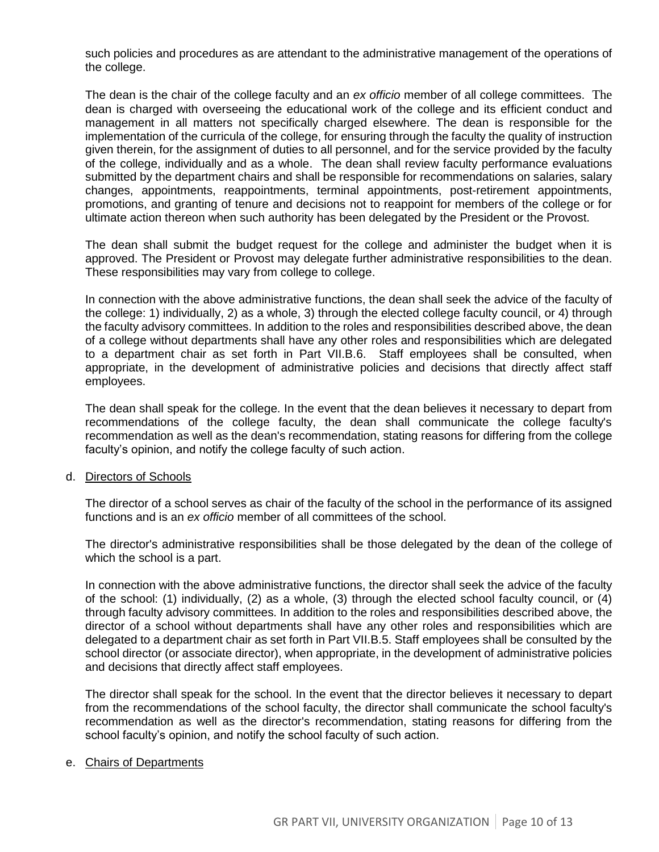such policies and procedures as are attendant to the administrative management of the operations of the college.

The dean is the chair of the college faculty and an *ex officio* member of all college committees. The dean is charged with overseeing the educational work of the college and its efficient conduct and management in all matters not specifically charged elsewhere. The dean is responsible for the implementation of the curricula of the college, for ensuring through the faculty the quality of instruction given therein, for the assignment of duties to all personnel, and for the service provided by the faculty of the college, individually and as a whole. The dean shall review faculty performance evaluations submitted by the department chairs and shall be responsible for recommendations on salaries, salary changes, appointments, reappointments, terminal appointments, post-retirement appointments, promotions, and granting of tenure and decisions not to reappoint for members of the college or for ultimate action thereon when such authority has been delegated by the President or the Provost.

The dean shall submit the budget request for the college and administer the budget when it is approved. The President or Provost may delegate further administrative responsibilities to the dean. These responsibilities may vary from college to college.

In connection with the above administrative functions, the dean shall seek the advice of the faculty of the college: 1) individually, 2) as a whole, 3) through the elected college faculty council, or 4) through the faculty advisory committees. In addition to the roles and responsibilities described above, the dean of a college without departments shall have any other roles and responsibilities which are delegated to a department chair as set forth in Part VII.B.6. Staff employees shall be consulted, when appropriate, in the development of administrative policies and decisions that directly affect staff employees.

The dean shall speak for the college. In the event that the dean believes it necessary to depart from recommendations of the college faculty, the dean shall communicate the college faculty's recommendation as well as the dean's recommendation, stating reasons for differing from the college faculty's opinion, and notify the college faculty of such action.

#### d. Directors of Schools

The director of a school serves as chair of the faculty of the school in the performance of its assigned functions and is an *ex officio* member of all committees of the school.

The director's administrative responsibilities shall be those delegated by the dean of the college of which the school is a part.

In connection with the above administrative functions, the director shall seek the advice of the faculty of the school: (1) individually, (2) as a whole, (3) through the elected school faculty council, or (4) through faculty advisory committees. In addition to the roles and responsibilities described above, the director of a school without departments shall have any other roles and responsibilities which are delegated to a department chair as set forth in Part VII.B.5. Staff employees shall be consulted by the school director (or associate director), when appropriate, in the development of administrative policies and decisions that directly affect staff employees.

The director shall speak for the school. In the event that the director believes it necessary to depart from the recommendations of the school faculty, the director shall communicate the school faculty's recommendation as well as the director's recommendation, stating reasons for differing from the school faculty's opinion, and notify the school faculty of such action.

#### e. Chairs of Departments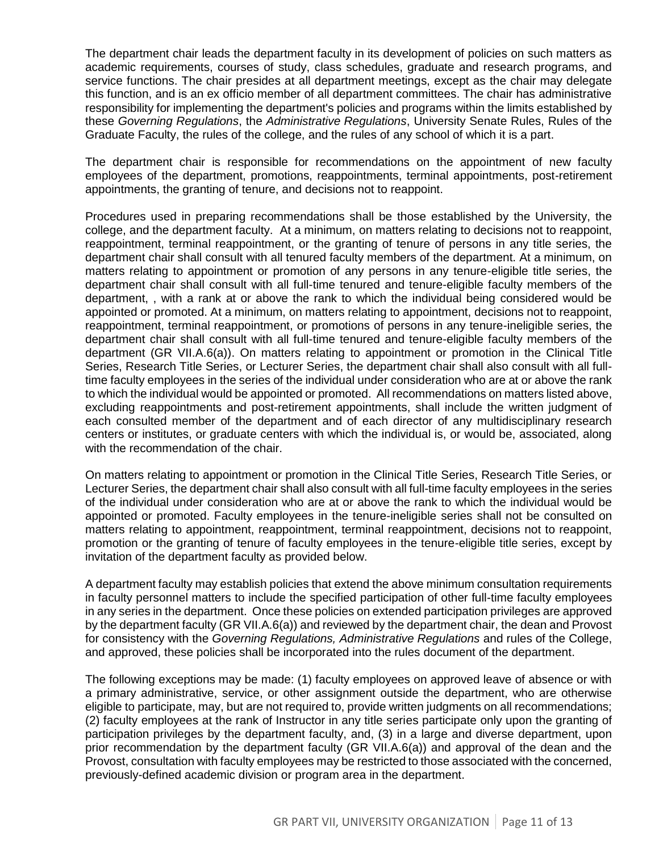The department chair leads the department faculty in its development of policies on such matters as academic requirements, courses of study, class schedules, graduate and research programs, and service functions. The chair presides at all department meetings, except as the chair may delegate this function, and is an ex officio member of all department committees. The chair has administrative responsibility for implementing the department's policies and programs within the limits established by these *Governing Regulations*, the *Administrative Regulations*, University Senate Rules, Rules of the Graduate Faculty, the rules of the college, and the rules of any school of which it is a part.

The department chair is responsible for recommendations on the appointment of new faculty employees of the department, promotions, reappointments, terminal appointments, post-retirement appointments, the granting of tenure, and decisions not to reappoint.

Procedures used in preparing recommendations shall be those established by the University, the college, and the department faculty. At a minimum, on matters relating to decisions not to reappoint, reappointment, terminal reappointment, or the granting of tenure of persons in any title series, the department chair shall consult with all tenured faculty members of the department. At a minimum, on matters relating to appointment or promotion of any persons in any tenure-eligible title series, the department chair shall consult with all full-time tenured and tenure-eligible faculty members of the department, , with a rank at or above the rank to which the individual being considered would be appointed or promoted. At a minimum, on matters relating to appointment, decisions not to reappoint, reappointment, terminal reappointment, or promotions of persons in any tenure-ineligible series, the department chair shall consult with all full-time tenured and tenure-eligible faculty members of the department (GR VII.A.6(a)). On matters relating to appointment or promotion in the Clinical Title Series, Research Title Series, or Lecturer Series, the department chair shall also consult with all fulltime faculty employees in the series of the individual under consideration who are at or above the rank to which the individual would be appointed or promoted. All recommendations on matters listed above, excluding reappointments and post-retirement appointments, shall include the written judgment of each consulted member of the department and of each director of any multidisciplinary research centers or institutes, or graduate centers with which the individual is, or would be, associated, along with the recommendation of the chair.

On matters relating to appointment or promotion in the Clinical Title Series, Research Title Series, or Lecturer Series, the department chair shall also consult with all full-time faculty employees in the series of the individual under consideration who are at or above the rank to which the individual would be appointed or promoted. Faculty employees in the tenure-ineligible series shall not be consulted on matters relating to appointment, reappointment, terminal reappointment, decisions not to reappoint, promotion or the granting of tenure of faculty employees in the tenure-eligible title series, except by invitation of the department faculty as provided below.

A department faculty may establish policies that extend the above minimum consultation requirements in faculty personnel matters to include the specified participation of other full-time faculty employees in any series in the department. Once these policies on extended participation privileges are approved by the department faculty (GR VII.A.6(a)) and reviewed by the department chair, the dean and Provost for consistency with the *Governing Regulations, Administrative Regulations* and rules of the College, and approved, these policies shall be incorporated into the rules document of the department.

The following exceptions may be made: (1) faculty employees on approved leave of absence or with a primary administrative, service, or other assignment outside the department, who are otherwise eligible to participate, may, but are not required to, provide written judgments on all recommendations; (2) faculty employees at the rank of Instructor in any title series participate only upon the granting of participation privileges by the department faculty, and, (3) in a large and diverse department, upon prior recommendation by the department faculty (GR VII.A.6(a)) and approval of the dean and the Provost, consultation with faculty employees may be restricted to those associated with the concerned, previously-defined academic division or program area in the department.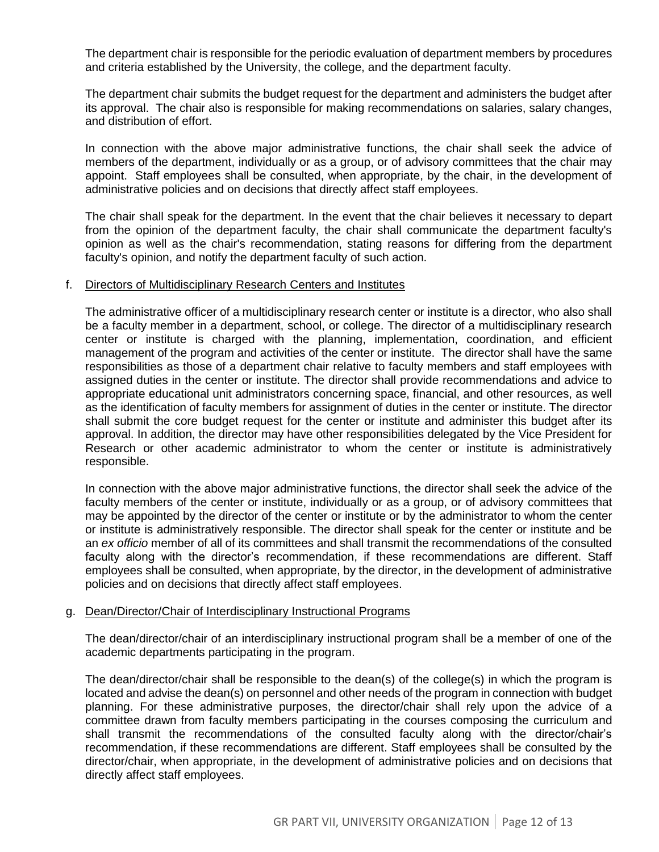The department chair is responsible for the periodic evaluation of department members by procedures and criteria established by the University, the college, and the department faculty.

The department chair submits the budget request for the department and administers the budget after its approval. The chair also is responsible for making recommendations on salaries, salary changes, and distribution of effort.

In connection with the above major administrative functions, the chair shall seek the advice of members of the department, individually or as a group, or of advisory committees that the chair may appoint. Staff employees shall be consulted, when appropriate, by the chair, in the development of administrative policies and on decisions that directly affect staff employees.

The chair shall speak for the department. In the event that the chair believes it necessary to depart from the opinion of the department faculty, the chair shall communicate the department faculty's opinion as well as the chair's recommendation, stating reasons for differing from the department faculty's opinion, and notify the department faculty of such action.

#### f. Directors of Multidisciplinary Research Centers and Institutes

The administrative officer of a multidisciplinary research center or institute is a director, who also shall be a faculty member in a department, school, or college. The director of a multidisciplinary research center or institute is charged with the planning, implementation, coordination, and efficient management of the program and activities of the center or institute. The director shall have the same responsibilities as those of a department chair relative to faculty members and staff employees with assigned duties in the center or institute. The director shall provide recommendations and advice to appropriate educational unit administrators concerning space, financial, and other resources, as well as the identification of faculty members for assignment of duties in the center or institute. The director shall submit the core budget request for the center or institute and administer this budget after its approval. In addition, the director may have other responsibilities delegated by the Vice President for Research or other academic administrator to whom the center or institute is administratively responsible.

In connection with the above major administrative functions, the director shall seek the advice of the faculty members of the center or institute, individually or as a group, or of advisory committees that may be appointed by the director of the center or institute or by the administrator to whom the center or institute is administratively responsible. The director shall speak for the center or institute and be an *ex officio* member of all of its committees and shall transmit the recommendations of the consulted faculty along with the director's recommendation, if these recommendations are different. Staff employees shall be consulted, when appropriate, by the director, in the development of administrative policies and on decisions that directly affect staff employees.

#### g. Dean/Director/Chair of Interdisciplinary Instructional Programs

The dean/director/chair of an interdisciplinary instructional program shall be a member of one of the academic departments participating in the program.

The dean/director/chair shall be responsible to the dean(s) of the college(s) in which the program is located and advise the dean(s) on personnel and other needs of the program in connection with budget planning. For these administrative purposes, the director/chair shall rely upon the advice of a committee drawn from faculty members participating in the courses composing the curriculum and shall transmit the recommendations of the consulted faculty along with the director/chair's recommendation, if these recommendations are different. Staff employees shall be consulted by the director/chair, when appropriate, in the development of administrative policies and on decisions that directly affect staff employees.